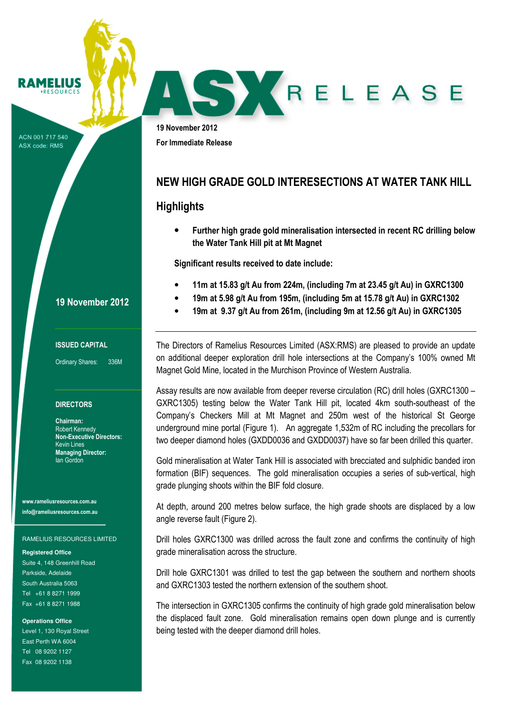# RAMELIUS

ACN 001 717 540 ASX code: RMS

19 November 2012 For Immediate Release

## NEW HIGH GRADE GOLD INTERESECTIONS AT WATER TANK HILL

SKRELEASE

## **Highlights**

• Further high grade gold mineralisation intersected in recent RC drilling below the Water Tank Hill pit at Mt Magnet

Significant results received to date include:

- 11m at 15.83 g/t Au from 224m, (including 7m at 23.45 g/t Au) in GXRC1300
- 19m at 5.98 g/t Au from 195m, (including 5m at 15.78 g/t Au) in GXRC1302
- 19m at 9.37 g/t Au from 261m, (including 9m at 12.56 g/t Au) in GXRC1305

The Directors of Ramelius Resources Limited (ASX:RMS) are pleased to provide an update on additional deeper exploration drill hole intersections at the Company's 100% owned Mt Magnet Gold Mine, located in the Murchison Province of Western Australia.

Assay results are now available from deeper reverse circulation (RC) drill holes (GXRC1300 – GXRC1305) testing below the Water Tank Hill pit, located 4km south-southeast of the Company's Checkers Mill at Mt Magnet and 250m west of the historical St George underground mine portal (Figure 1). An aggregate 1,532m of RC including the precollars for two deeper diamond holes (GXDD0036 and GXDD0037) have so far been drilled this quarter.

Gold mineralisation at Water Tank Hill is associated with brecciated and sulphidic banded iron formation (BIF) sequences. The gold mineralisation occupies a series of sub-vertical, high grade plunging shoots within the BIF fold closure.

At depth, around 200 metres below surface, the high grade shoots are displaced by a low angle reverse fault (Figure 2).

Drill holes GXRC1300 was drilled across the fault zone and confirms the continuity of high grade mineralisation across the structure.

Drill hole GXRC1301 was drilled to test the gap between the southern and northern shoots and GXRC1303 tested the northern extension of the southern shoot.

The intersection in GXRC1305 confirms the continuity of high grade gold mineralisation below the displaced fault zone. Gold mineralisation remains open down plunge and is currently being tested with the deeper diamond drill holes.

### 19 November 2012

#### ISSUED CAPITAL

Ordinary Shares: 336M

#### **DIRECTORS**

Chairman: Robert Kennedy Non-Executive Directors: Kevin Lines Managing Director: Ian Gordon

www.rameliusresources.com.au info@rameliusresources.com.au

RAMELIUS RESOURCES LIMITED

**Registered Office** 

Suite 4, 148 Greenhill Road Parkside, Adelaide South Australia 5063 Tel +61 8 8271 1999 Fax +61 8 8271 1988

**Operations Office** 

Level 1, 130 Royal Street East Perth WA 6004 Tel 08 9202 1127 Fax 08 9202 1138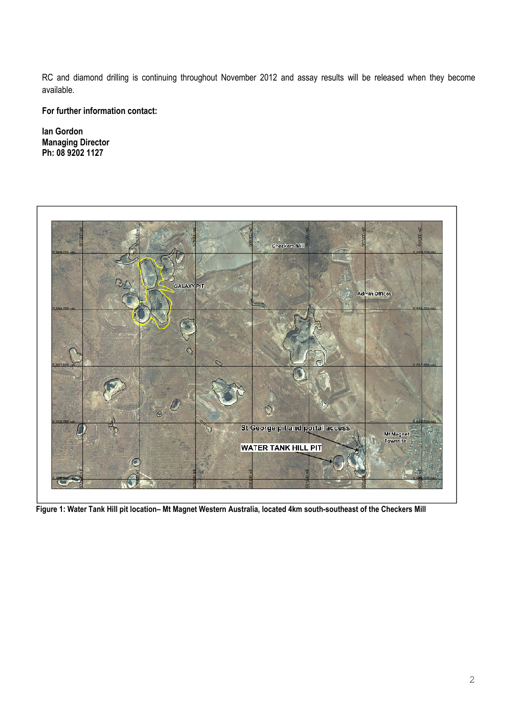RC and diamond drilling is continuing throughout November 2012 and assay results will be released when they become available.

For further information contact:

Ian Gordon Managing Director Ph: 08 9202 1127



Figure 1: Water Tank Hill pit location– Mt Magnet Western Australia, located 4km south-southeast of the Checkers Mill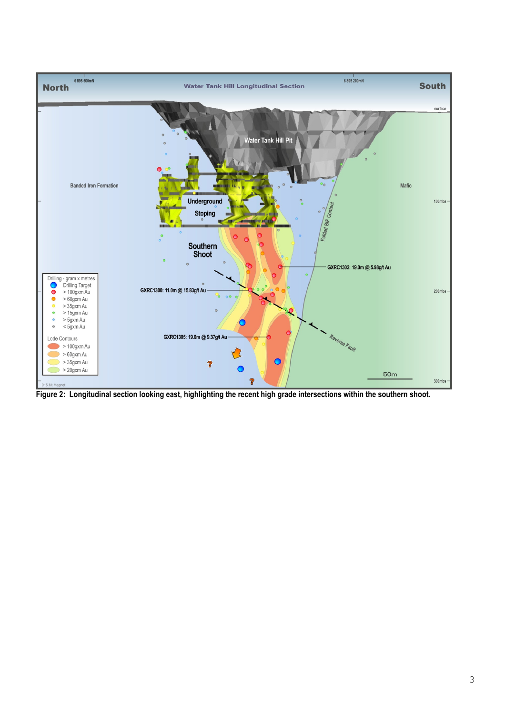

Figure 2: Longitudinal section looking east, highlighting the recent high grade intersections within the southern shoot.